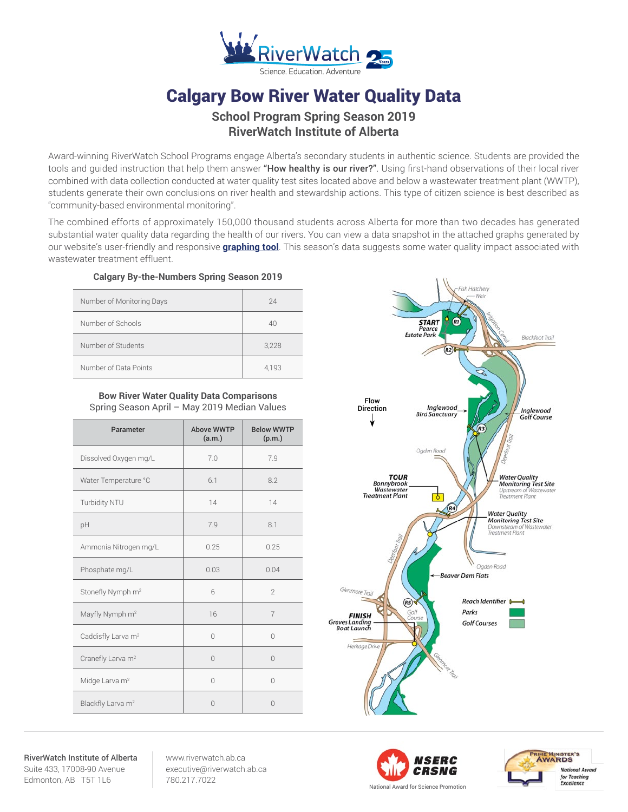

# Calgary Bow River Water Quality Data

# **School Program Spring Season 2019 RiverWatch Institute of Alberta**

Award-winning RiverWatch School Programs engage Alberta's secondary students in authentic science. Students are provided the tools and quided instruction that help them answer "How healthy is our river?". Using first-hand observations of their local river combined with data collection conducted at water quality test sites located above and below a wastewater treatment plant (WWTP), students generate their own conclusions on river health and stewardship actions. This type of citizen science is best described as "community-based environmental monitoring".

The combined efforts of approximately 150,000 thousand students across Alberta for more than two decades has generated substantial water quality data regarding the health of our rivers. You can view a data snapshot in the attached graphs generated by our website's user-friendly and responsive **[graphing tool](http://www.riverwatch.ab.ca/index.php/science/data)**. This season's data suggests some water quality impact associated with wastewater treatment effluent.

## **Calgary By-the-Numbers Spring Season 2019**

| Number of Monitoring Days | 24    |
|---------------------------|-------|
| Number of Schools         | 40    |
| Number of Students        | 3,228 |
| Number of Data Points     | 4,193 |

## **Bow River Water Quality Data Comparisons** Spring Season April – May 2019 Median Values

| Parameter                      | <b>Above WWTP</b><br>(a.m.) | <b>Below WWTP</b><br>(p.m.) |
|--------------------------------|-----------------------------|-----------------------------|
| Dissolved Oxygen mg/L          | 7.0                         | 7.9                         |
| Water Temperature °C           | 6.1                         | 8.2                         |
| Turbidity NTU                  | 14                          | 14                          |
| pH                             | 7.9                         | 8.1                         |
| Ammonia Nitrogen mg/L          | 0.25                        | 0.25                        |
| Phosphate mg/L                 | 0.03                        | 0.04                        |
| Stonefly Nymph m <sup>2</sup>  | 6                           | $\mathcal{P}$               |
| Mayfly Nymph m <sup>2</sup>    | 16                          | $\overline{7}$              |
| Caddisfly Larva m <sup>2</sup> | $\bigcap$                   | U                           |
| Cranefly Larva m <sup>2</sup>  | $\bigcap$                   | $\bigcap$                   |
| Midge Larva m <sup>2</sup>     | $\bigcap$                   | $\Omega$                    |
| Blackfly Larva m <sup>2</sup>  | $\bigcap$                   | $\Omega$                    |



RiverWatch Institute of Alberta Suite 433, 17008-90 Avenue Edmonton, AB T5T 1L6

www.riverwatch.ab.ca executive@riverwatch.ab.ca 780.217.7022



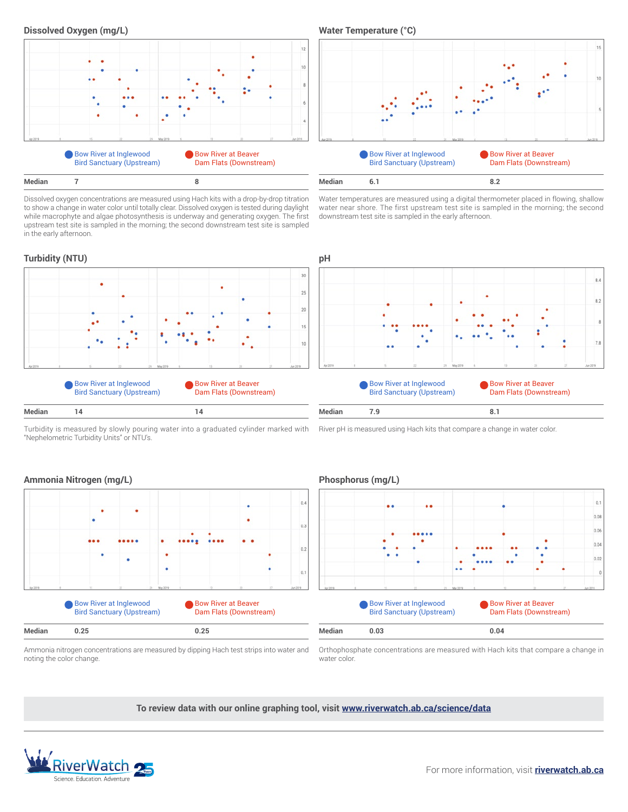

Dissolved oxygen concentrations are measured using Hach kits with a drop-by-drop titration to show a change in water color until totally clear. Dissolved oxygen is tested during daylight while macrophyte and algae photosynthesis is underway and generating oxygen. The first upstream test site is sampled in the morning; the second downstream test site is sampled in the early afternoon.



Water temperatures are measured using a digital thermometer placed in flowing, shallow water near shore. The first upstream test site is sampled in the morning; the second downstream test site is sampled in the early afternoon.



Turbidity is measured by slowly pouring water into a graduated cylinder marked with "Nephelometric Turbidity Units" or NTU's.

River pH is measured using Hach kits that compare a change in water color.



# **Ammonia Nitrogen (mg/L) Phosphorus (mg/L)**



Ammonia nitrogen concentrations are measured by dipping Hach test strips into water and noting the color change.

Orthophosphate concentrations are measured with Hach kits that compare a change in water color.

**To review data with our online graphing tool, visit <www.riverwatch.ab.ca/science/data>**



#### For more information, visit **[riverwatch.ab.ca](http://riverwatch.ab.ca)**